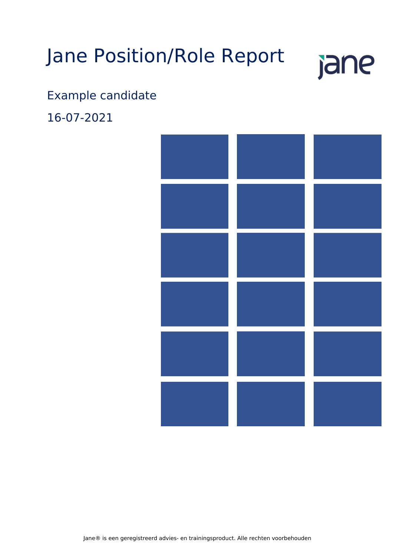# Jane Position/Role Report



# Example candidate

16-07-2021

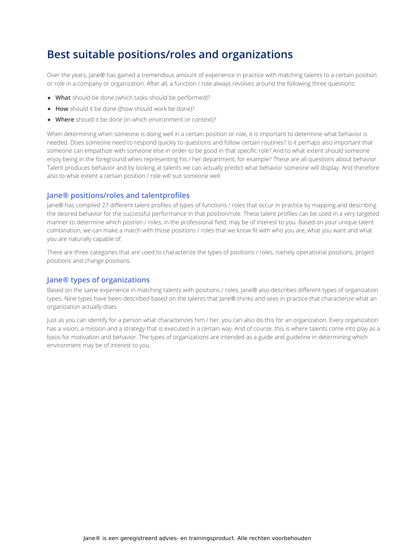### **Best suitable positions/roles and organizations**

Over the years, Jane® has gained a tremendous amount of experience in practice with matching talents to a certain position or role in a company or organization. After all, a function / role always revolves around the following three questions:

- **What** should be done (which tasks should be performed)?
- **How** should it be done ((how should work be done)?
- **Where** should it be done (in which environment or context)?

When determining when someone is doing well in a certain position or role, it is important to determine what behavior is needed. Does someone need to respond quickly to questions and follow certain routines? Is it perhaps also important that someone can empathize with someone else in order to be good in that specific role? And to what extent should someone enjoy being in the foreground when representing his / her department, for example? These are all questions about behavior. Talent produces behavior and by looking at talents we can actually predict what behavior someone will display. And therefore also to what extent a certain position / role will suit someone well.

### **Jane® positions/roles and talentprofiles**

Jane® has compiled 27 different talent profiles of types of functions / roles that occur in practice by mapping and describing the desired behavior for the successful performance in that position/role. These talent profiles can be used in a very targeted manner to determine which postion / roles, in the professional field, may be of interest to you. Based on your unique talent combination, we can make a match with those positions / roles that we know fit with who you are, what you want and what you are naturally capable of.

There are three categories that are used to characterize the types of positions / roles, namely operational positions, project positions and change positions.

### **Jane® types of organizations**

Based on the same experience in matching talents with positions / roles, Jane® also describes different types of organization types. Nine types have been described based on the talents that Jane® thinks and sees in practice that characterize what an organization actually does.

Just as you can identify for a person what characterizes him / her, you can also do this for an organization. Every organization has a vision, a mission and a strategy that is executed in a certain way. And of course, this is where talents come into play as a basis for motivation and behavior. The types of organizations are intended as a guide and guideline in determining which environment may be of interest to you.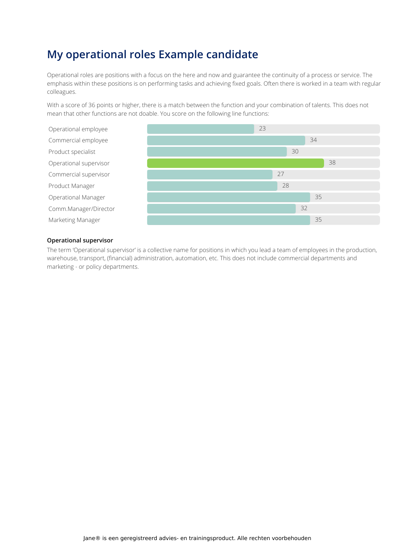### **My operational roles Example candidate**

Operational roles are positions with a focus on the here and now and guarantee the continuity of a process or service. The emphasis within these positions is on performing tasks and achieving fixed goals. Often there is worked in a team with regular colleagues.

With a score of 36 points or higher, there is a match between the function and your combination of talents. This does not mean that other functions are not doable. You score on the following line functions:



#### **Operational supervisor**

The term 'Operational supervisor' is a collective name for positions in which you lead a team of employees in the production, warehouse, transport, (financial) administration, automation, etc. This does not include commercial departments and marketing - or policy departments.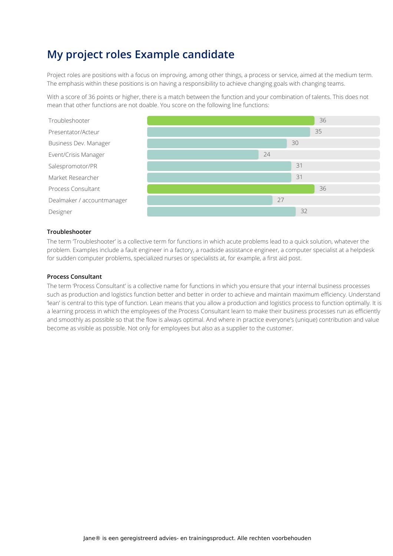### **My project roles Example candidate**

Project roles are positions with a focus on improving, among other things, a process or service, aimed at the medium term. The emphasis within these positions is on having a responsibility to achieve changing goals with changing teams.

With a score of 36 points or higher, there is a match between the function and your combination of talents. This does not mean that other functions are not doable. You score on the following line functions:



#### **Troubleshooter**

The term Troubleshooter' is a collective term for functions in which acute problems lead to a quick solution, whatever the problem. Examples include a fault engineer in a factory, a roadside assistance engineer, a computer specialist at a helpdesk for sudden computer problems, specialized nurses or specialists at, for example, a first aid post.

#### **Process Consultant**

The term 'Process Consultant' is a collective name for functions in which you ensure that your internal business processes such as production and logistics function better and better in order to achieve and maintain maximum efficiency. Understand 'lean' is central to this type of function. Lean means that you allow a production and logistics process to function optimally. It is a learning process in which the employees of the Process Consultant learn to make their business processes run as efficiently and smoothly as possible so that the flow is always optimal. And where in practice everyone's (unique) contribution and value become as visible as possible. Not only for employees but also as a supplier to the customer.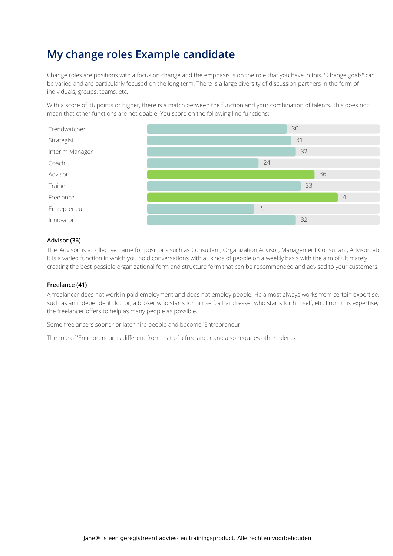### **My change roles Example candidate**

Change roles are positions with a focus on change and the emphasis is on the role that you have in this. "Change goals" can be varied and are particularly focused on the long term. There is a large diversity of discussion partners in the form of individuals, groups, teams, etc.

With a score of 36 points or higher, there is a match between the function and your combination of talents. This does not mean that other functions are not doable. You score on the following line functions:



#### **Advisor (36)**

The 'Advisor' is a collective name for positions such as Consultant, Organization Advisor, Management Consultant, Advisor, etc. It is a varied function in which you hold conversations with all kinds of people on a weekly basis with the aim of ultimately creating the best possible organizational form and structure form that can be recommended and advised to your customers.

### **Freelance (41)**

A freelancer does not work in paid employment and does not employ people. He almost always works from certain expertise, such as an independent doctor, a broker who starts for himself, a hairdresser who starts for himself, etc. From this expertise, the freelancer offers to help as many people as possible.

Some freelancers sooner or later hire people and become 'Entrepreneur'.

The role of 'Entrepreneur' is different from that of a freelancer and also requires other talents.